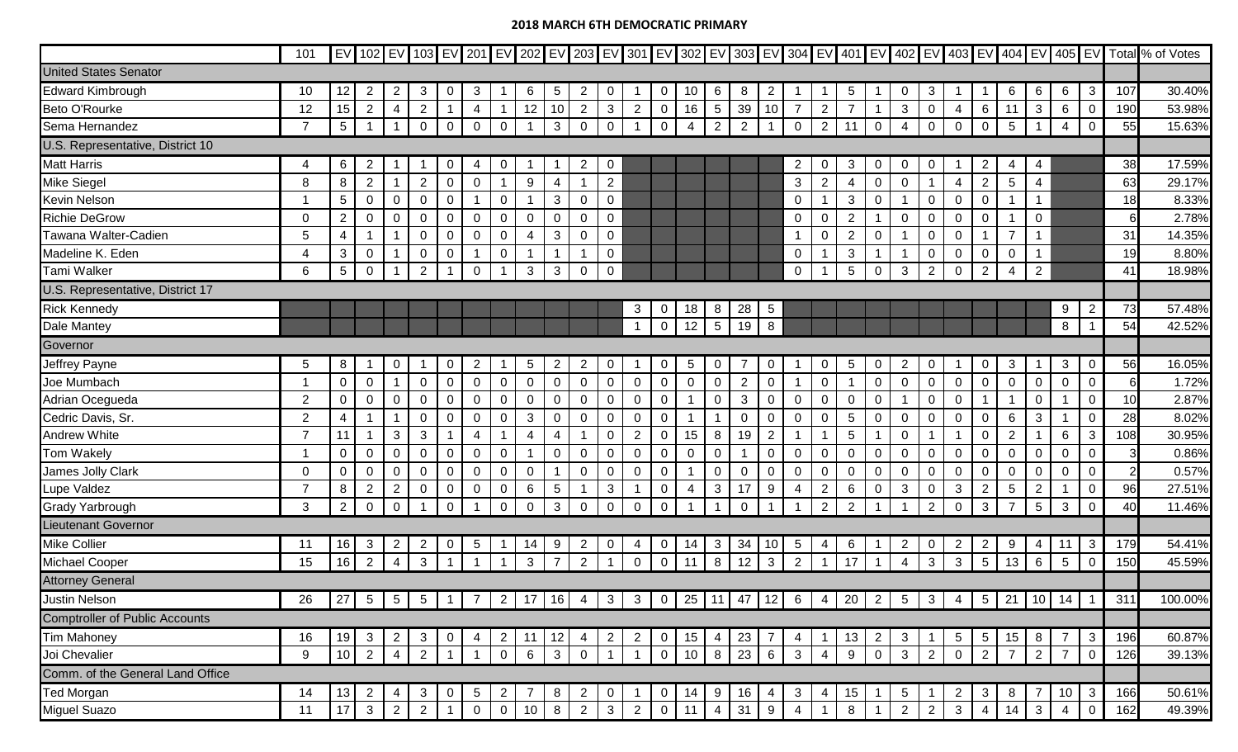## **2018 MARCH 6TH DEMOCRATIC PRIMARY**

|                                       | 101            |                |                    |                |                |                         |                 |                  |                                                                                                                                 |                |                |                |                |                  |             |                 |                |                 |                 |                |                 |                  |                 |                |                 |                          |                 |                 |                 |                |                                                                  | EV 102 EV 103 EV 201 EV 202 EV 203 EV 301 EV 302 EV 303 EV 304 EV 401 EV 402 EV 403 EV 404 EV 405 EV Total % of Votes |
|---------------------------------------|----------------|----------------|--------------------|----------------|----------------|-------------------------|-----------------|------------------|---------------------------------------------------------------------------------------------------------------------------------|----------------|----------------|----------------|----------------|------------------|-------------|-----------------|----------------|-----------------|-----------------|----------------|-----------------|------------------|-----------------|----------------|-----------------|--------------------------|-----------------|-----------------|-----------------|----------------|------------------------------------------------------------------|-----------------------------------------------------------------------------------------------------------------------|
| <b>United States Senator</b>          |                |                |                    |                |                |                         |                 |                  |                                                                                                                                 |                |                |                |                |                  |             |                 |                |                 |                 |                |                 |                  |                 |                |                 |                          |                 |                 |                 |                |                                                                  |                                                                                                                       |
| <b>Edward Kimbrough</b>               | 10             | 12             | $\mathbf{2}$       | $\overline{2}$ | $\mathbf{3}$   | 0                       | 3 <sup>7</sup>  | -1               | 6                                                                                                                               | 5 <sup>5</sup> | $\overline{2}$ | 0              |                | $\mathbf 0$      | 10          | 6               | 8              | $\overline{2}$  |                 |                | $5\overline{)}$ |                  | 0               | 3              | $\mathbf 1$     |                          | 6               | 6               | 6               | $\mathbf{3}$   | 107                                                              | 30.40%                                                                                                                |
| Beto O'Rourke                         | 12             | 15             | $2^{\circ}$        | $\overline{4}$ | $\overline{2}$ | $\overline{1}$          | $\overline{4}$  | $\overline{1}$   | 12                                                                                                                              | 10             | $\overline{2}$ | 3              | $\overline{2}$ | $\mathbf 0$      | 16          | $\overline{5}$  | 39             | 10              | $\overline{7}$  | $\overline{2}$ | $\overline{7}$  | $\mathbf{1}$     | 3               | $\overline{0}$ | $\overline{4}$  | 6                        | 11              | $\mathbf{3}$    | 6               | $\overline{0}$ | 190                                                              | 53.98%                                                                                                                |
| Sema Hernandez                        | $\overline{7}$ | 5              |                    |                | $\overline{0}$ | $\overline{0}$          | $\overline{0}$  | $\mathbf 0$      |                                                                                                                                 | 3 <sup>1</sup> | $\overline{0}$ | $\overline{0}$ |                | $\mathbf 0$      | 4           | $\overline{2}$  | $\overline{2}$ | $\mathbf 1$     | $\overline{0}$  | $\overline{2}$ | 11              | $\mathbf 0$      | $\overline{4}$  | $\overline{0}$ | $\mathbf 0$     | $\overline{0}$           | $5\phantom{.0}$ |                 | $\overline{4}$  | $\overline{0}$ | 55                                                               | 15.63%                                                                                                                |
| U.S. Representative, District 10      |                |                |                    |                |                |                         |                 |                  |                                                                                                                                 |                |                |                |                |                  |             |                 |                |                 |                 |                |                 |                  |                 |                |                 |                          |                 |                 |                 |                |                                                                  |                                                                                                                       |
| <b>Matt Harris</b>                    | 4              | 6              | 2                  |                |                | 0                       | 4               | 0                |                                                                                                                                 | 1              | 2              | 0              |                |                  |             |                 |                |                 | $\overline{2}$  | $\mathbf 0$    | 3               | 0                | 0               | 0              |                 | 2                        | $\overline{4}$  | 4               |                 |                | 38                                                               | 17.59%                                                                                                                |
| Mike Siegel                           | 8              | 8              | $\overline{2}$     |                | 2              | $\overline{0}$          | $\overline{0}$  | $\overline{1}$   | 9                                                                                                                               | 4              | -1             | $\overline{2}$ |                |                  |             |                 |                |                 | $\mathbf{3}$    | $\overline{2}$ | $\overline{4}$  | 0                | $\mathbf 0$     |                | $\overline{4}$  | $\overline{2}$           | $5\phantom{.0}$ | $\overline{4}$  |                 |                | 63                                                               | 29.17%                                                                                                                |
| Kevin Nelson                          |                | 5              | 0                  | $\mathbf 0$    | $\overline{0}$ | 0                       |                 | $\mathbf 0$      |                                                                                                                                 | 3 <sup>1</sup> | $\overline{0}$ | $\mathbf 0$    |                |                  |             |                 |                |                 | $\mathbf 0$     |                | 3               | 0                |                 | 0              | $\overline{0}$  | 0                        |                 |                 |                 |                | 18                                                               | 8.33%                                                                                                                 |
| <b>Richie DeGrow</b>                  | 0              | $\overline{2}$ | 0                  | $\Omega$       | $\overline{0}$ | 0                       | 0               | $\mathbf 0$      | 0                                                                                                                               | 0              | $\Omega$       | 0              |                |                  |             |                 |                |                 | $\mathbf 0$     | 0              | 2               |                  | $\mathbf{0}$    | 0              | $\mathbf 0$     | 0                        |                 | $\mathbf 0$     |                 |                |                                                                  | 2.78%                                                                                                                 |
| Tawana Walter-Cadien                  | 5              | $\overline{4}$ |                    |                | $\overline{0}$ | $\mathbf 0$             | $\mathbf 0$     | $\overline{0}$   | 4                                                                                                                               | 3              | $\overline{0}$ | $\mathbf 0$    |                |                  |             |                 |                |                 | - 1             | $\overline{0}$ | $\overline{2}$  | $\mathbf 0$      |                 | $\mathsf 0$    | $\overline{0}$  | $\overline{\phantom{a}}$ | $\overline{7}$  | $\overline{1}$  |                 |                | 31                                                               | 14.35%                                                                                                                |
| Madeline K. Eden                      | 4              | $\mathbf{3}$   | 0                  |                | $\overline{0}$ | 0                       |                 | $\mathbf 0$      |                                                                                                                                 |                |                | $\mathbf 0$    |                |                  |             |                 |                |                 | $\mathbf 0$     |                | 3               |                  |                 | $\mathbf 0$    | 0               | 0                        | $\mathbf 0$     |                 |                 |                | 19                                                               | 8.80%                                                                                                                 |
| Tami Walker                           | 6              | 5              | $\Omega$           |                | 2              |                         | $\overline{0}$  | $\overline{1}$   | $\mathbf{3}$                                                                                                                    | 3 <sup>1</sup> | $\overline{0}$ | $\mathbf 0$    |                |                  |             |                 |                |                 | $\overline{0}$  |                | $5\phantom{.0}$ | $\mathbf 0$      | 3               | 2 <sup>1</sup> | $\overline{0}$  | 2                        | $\overline{4}$  | $\overline{2}$  |                 |                | 41                                                               | 18.98%                                                                                                                |
| U.S. Representative, District 17      |                |                |                    |                |                |                         |                 |                  |                                                                                                                                 |                |                |                |                |                  |             |                 |                |                 |                 |                |                 |                  |                 |                |                 |                          |                 |                 |                 |                |                                                                  |                                                                                                                       |
| <b>Rick Kennedy</b>                   |                |                |                    |                |                |                         |                 |                  |                                                                                                                                 |                |                |                | $\mathbf{3}$   | $\overline{0}$   | 18          | 8               | 28             | $5\phantom{.0}$ |                 |                |                 |                  |                 |                |                 |                          |                 |                 | 9               | $\overline{2}$ | 73                                                               | 57.48%                                                                                                                |
| Dale Mantey                           |                |                |                    |                |                |                         |                 |                  |                                                                                                                                 |                |                |                | $\overline{1}$ | $\boldsymbol{0}$ | 12          | $5\phantom{.0}$ | 19             | 8               |                 |                |                 |                  |                 |                |                 |                          |                 |                 | 8               | $\overline{1}$ | 54                                                               | 42.52%                                                                                                                |
| Governor                              |                |                |                    |                |                |                         |                 |                  |                                                                                                                                 |                |                |                |                |                  |             |                 |                |                 |                 |                |                 |                  |                 |                |                 |                          |                 |                 |                 |                |                                                                  |                                                                                                                       |
| Jeffrey Payne                         | 5              | 8              |                    | 0              |                | 0                       | $\overline{2}$  | -1               | 5                                                                                                                               | $\overline{2}$ | $\overline{2}$ | 0              |                | 0                | 5           | 0               |                | 0               |                 | $\mathbf 0$    | $5\overline{)}$ | 0                | $\overline{2}$  | 0              | -1              | 0                        | $\mathbf{3}$    |                 | $\mathbf{3}$    | $\overline{0}$ | 56                                                               | 16.05%                                                                                                                |
| Joe Mumbach                           |                | $\mathbf 0$    | 0                  |                | $\mathbf 0$    | 0                       | $\overline{0}$  | $\mathbf 0$      | $\boldsymbol{0}$                                                                                                                | $\mathbf 0$    | $\overline{0}$ | $\mathbf 0$    | $\mathbf 0$    | $\boldsymbol{0}$ | $\mathbf 0$ | 0               | $\overline{2}$ | $\overline{0}$  |                 | $\mathbf 0$    |                 | $\mathbf 0$      | $\mathbf 0$     | $\mathbf 0$    | $\mathbf 0$     | 0                        | $\mathbf 0$     | $\mathbf 0$     | $\mathbf 0$     | $\overline{0}$ | 61                                                               | 1.72%                                                                                                                 |
| Adrian Ocegueda                       | $\overline{2}$ | $\mathsf 0$    | 0                  | $\mathbf 0$    | $\overline{0}$ | 0                       | $\mathbf 0$     | $\overline{0}$   | $\mathbf 0$                                                                                                                     | $\mathbf 0$    | $\overline{0}$ | $\mathbf 0$    | 0              | $\mathbf 0$      |             | $\mathbf 0$     | 3              | $\mathbf 0$     | $\mathbf 0$     | $\overline{0}$ | $\mathbf 0$     | $\mathbf 0$      |                 | $\mathsf 0$    | $\mathbf 0$     |                          |                 | $\mathbf 0$     |                 | $\overline{0}$ | 10                                                               | 2.87%                                                                                                                 |
| Cedric Davis, Sr.                     | $\overline{2}$ | $\overline{4}$ |                    |                | $\overline{0}$ | $\Omega$                | 0               | $\overline{0}$   | 3                                                                                                                               | 0              | $\overline{0}$ | $\mathbf 0$    | 0              | $\mathbf 0$      | -1          |                 | 0              | $\mathbf 0$     | 0               | $\overline{0}$ | $\sqrt{5}$      | 0                | 0               | $\mathbf 0$    | $\overline{0}$  | $\mathbf 0$              | 6               | 3               |                 | $\overline{0}$ | 28                                                               | 8.02%                                                                                                                 |
| <b>Andrew White</b>                   | $\overline{7}$ | 11             |                    | 3              | $\mathbf{3}$   |                         | 4               |                  | 4                                                                                                                               | 4              |                | $\mathbf 0$    | 2              | $\mathbf 0$      | 15          | 8               | 19             | $\overline{2}$  |                 |                | $\overline{5}$  |                  | 0               |                |                 | $\mathbf 0$              | 2               |                 | 6               | 3              | 108                                                              | 30.95%                                                                                                                |
| Tom Wakely                            |                | $\mathbf 0$    | 0                  | 0              | $\overline{0}$ | 0                       | 0               | $\overline{0}$   |                                                                                                                                 | 0              | $\overline{0}$ | 0              | $\overline{0}$ | 0                | 0           | 0               |                | 0               | 0               | $\overline{0}$ | 0               | $\mathbf 0$      | 0               | $\mathbf 0$    | $\mathbf 0$     | $\mathbf 0$              | 0               | $\mathbf 0$     | $\Omega$        | $\mathbf 0$    |                                                                  | 0.86%                                                                                                                 |
| James Jolly Clark                     | 0              | $\mathbf 0$    | 0                  | 0              | $\overline{0}$ | $\mathbf 0$             | $\mathbf 0$     | $\boldsymbol{0}$ | $\mathbf 0$                                                                                                                     |                | $\overline{0}$ | $\mathbf 0$    | $\mathbf 0$    | $\mathbf 0$      |             | 0               | 0              | $\mathbf 0$     | $\mathbf 0$     | $\mathbf 0$    | 0               | $\mathbf 0$      | $\mathbf 0$     | $\mathsf 0$    | $\overline{0}$  | 0                        | $\mathbf 0$     | $\mathbf 0$     | 0               | $\mathbf 0$    |                                                                  | 0.57%                                                                                                                 |
| Lupe Valdez                           | $\overline{7}$ | 8              | $\overline{2}$     | $\overline{2}$ | $\overline{0}$ | 0                       | 0               | $\mathbf 0$      | 6                                                                                                                               | 5              |                | 3              |                | 0                | 4           | 3               | 17             | 9               | 4               | $\overline{2}$ | 6               | $\boldsymbol{0}$ | 3               | $\pmb{0}$      | 3               | $\overline{2}$           | $5\phantom{.0}$ | $\overline{2}$  |                 | $\overline{0}$ | 96                                                               | 27.51%                                                                                                                |
| <b>Grady Yarbrough</b>                | 3              | 2              | $\mathbf 0$        | $\overline{0}$ | $\overline{1}$ | $\mathbf 0$             |                 | $\overline{0}$   | $\mathbf 0$                                                                                                                     | 3 <sup>1</sup> | $\overline{0}$ | $\mathbf 0$    | $\mathbf 0$    | $\overline{0}$   | $\mathbf 1$ |                 | $\mathbf 0$    | $\overline{1}$  | -1              | 2              | $\overline{2}$  | $\overline{1}$   | $\overline{1}$  | 2 <sup>1</sup> | $\overline{0}$  | $\mathbf{3}$             | $\overline{7}$  | $5\phantom{.0}$ | $\mathbf{3}$    | $\overline{0}$ | 40                                                               | 11.46%                                                                                                                |
| <b>Lieutenant Governor</b>            |                |                |                    |                |                |                         |                 |                  |                                                                                                                                 |                |                |                |                |                  |             |                 |                |                 |                 |                |                 |                  |                 |                |                 |                          |                 |                 |                 |                |                                                                  |                                                                                                                       |
| <b>Mike Collier</b>                   | 11             | 16             | 3                  | $\overline{2}$ | $\overline{2}$ | 0                       | $5\phantom{.0}$ |                  | 14                                                                                                                              | 9              | $\overline{2}$ | $\overline{0}$ | 4              | $\overline{0}$   | 14          | $\mathbf{3}$    | 34             | 10              | $5\phantom{.0}$ | 4              | 6               |                  | $\overline{2}$  | 0              | $\overline{2}$  | 2                        | 9               | 4               | 11              | $\mathbf{3}$   | 179                                                              | 54.41%                                                                                                                |
| Michael Cooper                        | 15             | 16             | $2^{\circ}$        | $\overline{4}$ | $\mathbf{3}$   | $\overline{\mathbf{1}}$ |                 | $\overline{1}$   | $\mathbf{3}$                                                                                                                    | $\overline{7}$ | $\overline{2}$ |                | $\mathbf 0$    | $\mathbf 0$      | 11          | 8               | 12             | $\mathbf{3}$    | 2               |                | 17              | $\overline{1}$   | $\overline{4}$  | 3 <sup>1</sup> | $\mathbf{3}$    | $5\phantom{.0}$          | 13              | $6\phantom{.}6$ | $5\overline{)}$ | $\overline{0}$ | 150                                                              | 45.59%                                                                                                                |
|                                       |                |                |                    |                |                |                         |                 |                  |                                                                                                                                 |                |                |                |                |                  |             |                 |                |                 |                 |                |                 |                  |                 |                |                 |                          |                 |                 |                 |                |                                                                  |                                                                                                                       |
| Attorney General<br>Justin Nelson     | 26             |                | 27 $5 \mid 5 \mid$ |                | 5 <sup>1</sup> |                         |                 |                  | $1 \mid 7 \mid 2 \mid 17 \mid 16 \mid 4 \mid 3 \mid 3 \mid 0 \mid 25 \mid 11 \mid 47 \mid 12 \mid 6 \mid 4 \mid 20 \mid 2 \mid$ |                |                |                |                |                  |             |                 |                |                 |                 |                |                 |                  |                 |                |                 |                          |                 |                 |                 |                | $5 \mid 3 \mid 4 \mid 5 \mid 21 \mid 10 \mid 14 \mid 1 \mid 311$ | 100.00%                                                                                                               |
| <b>Comptroller of Public Accounts</b> |                |                |                    |                |                |                         |                 |                  |                                                                                                                                 |                |                |                |                |                  |             |                 |                |                 |                 |                |                 |                  |                 |                |                 |                          |                 |                 |                 |                |                                                                  |                                                                                                                       |
| Tim Mahoney                           | 16             | 19             | 3                  | $\overline{2}$ | $\mathbf{3}$   | $\overline{0}$          | 4               | $\overline{2}$   | 11                                                                                                                              | 12             | 4              | $\overline{2}$ | $\overline{2}$ | $\overline{0}$   | 15          | 4               | 23             | $\overline{7}$  | 4               |                | 13              | $\overline{2}$   | $\mathbf{3}$    |                | $5\phantom{.0}$ | $5\phantom{.0}$          | 15              | 8               |                 | $\mathbf{3}$   | 196                                                              | 60.87%                                                                                                                |
| Joi Chevalier                         | 9              | 10             | $\overline{2}$     | $\overline{4}$ | $\overline{2}$ |                         |                 | $\overline{0}$   | $6\phantom{.}6$                                                                                                                 | 3 <sup>1</sup> | $\overline{0}$ | $\mathbf{1}$   |                | $\mathbf 0$      | 10          | 8               | 23             | $6\overline{6}$ | 3 <sup>1</sup>  | $\overline{4}$ | 9               | $\overline{0}$   | $\mathbf{3}$    | 2 <sup>1</sup> | $\overline{0}$  | $\overline{2}$           | $\overline{7}$  | $\overline{2}$  | $\overline{7}$  | $\overline{0}$ | 126                                                              | 39.13%                                                                                                                |
| Comm. of the General Land Office      |                |                |                    |                |                |                         |                 |                  |                                                                                                                                 |                |                |                |                |                  |             |                 |                |                 |                 |                |                 |                  |                 |                |                 |                          |                 |                 |                 |                |                                                                  |                                                                                                                       |
| Ted Morgan                            | 14             | 13             | $\overline{2}$     | 4              | $\mathbf{3}$   | 0                       | $5\overline{)}$ | $\overline{2}$   |                                                                                                                                 | 8              | $\overline{2}$ | 0              |                | 0                | 14          | 9               | 16             | 4               | $\mathbf{3}$    | 4              | 15 <sup>1</sup> |                  | $5\phantom{.0}$ |                | $\overline{2}$  | $\mathbf{3}$             | 8               |                 | 10 <sup>°</sup> | $\mathbf{3}$   | 166                                                              | 50.61%                                                                                                                |
| <b>Miguel Suazo</b>                   | 11             | 17             | 3 <sup>1</sup>     | $\overline{2}$ | $\overline{2}$ |                         | $\overline{0}$  | $\overline{0}$   | 10                                                                                                                              | $8\phantom{.}$ | $\overline{2}$ | $\mathbf{3}$   | 2              | $\mathbf 0$      | 11          | 4               | 31             | 9               | $\overline{4}$  |                | 8               |                  | 2               | $\overline{2}$ | $\mathbf{3}$    | $\overline{4}$           | 14              | $\mathbf{3}$    | $\overline{4}$  | $\overline{0}$ | 162                                                              | 49.39%                                                                                                                |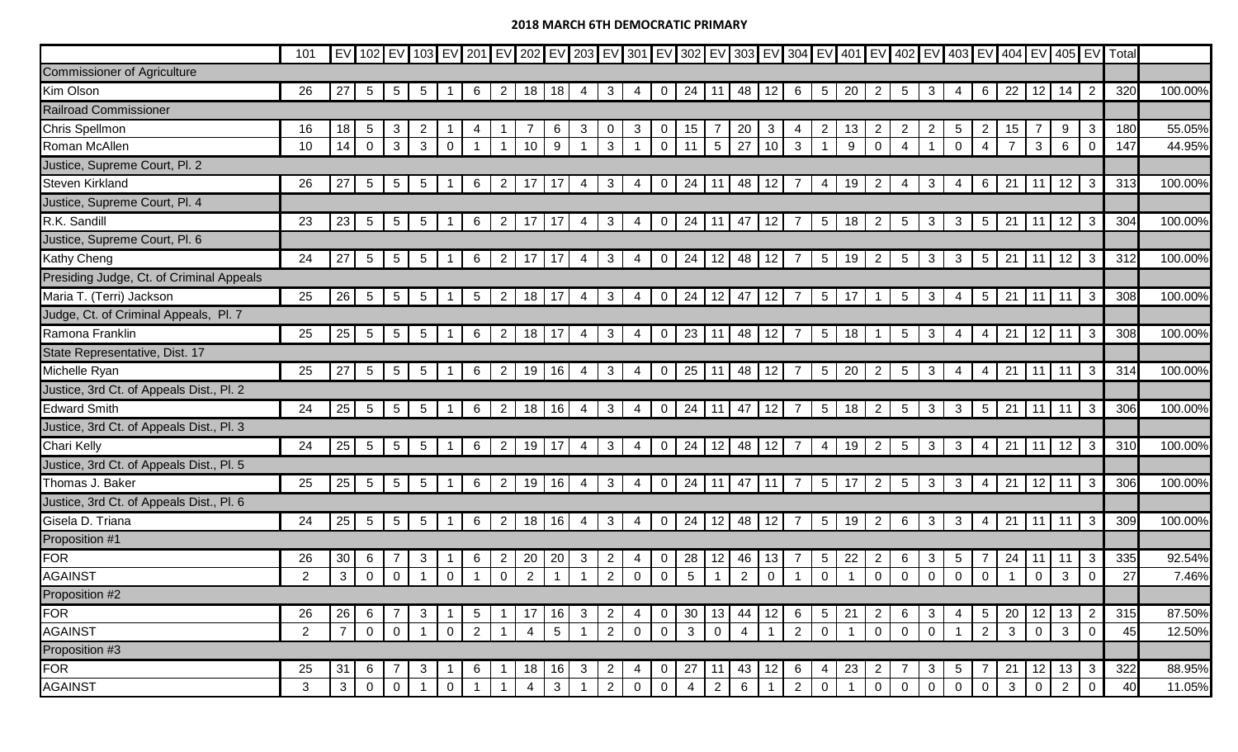## **2018 MARCH 6TH DEMOCRATIC PRIMARY**

|                                          | 101            |                |                 |                 |                 |                |                 |                |                |                    |                |                |              |                  |                 |                 |             |              |              |                 |    |                |                 |                |                 |                 |              |             |                |                | EV   102   EV   103   EV   201   EV   202   EV   203   EV   301   EV   302   EV   303   EV   401   EV   402   EV   403   EV   404   EV   405   EV   Total |         |
|------------------------------------------|----------------|----------------|-----------------|-----------------|-----------------|----------------|-----------------|----------------|----------------|--------------------|----------------|----------------|--------------|------------------|-----------------|-----------------|-------------|--------------|--------------|-----------------|----|----------------|-----------------|----------------|-----------------|-----------------|--------------|-------------|----------------|----------------|-----------------------------------------------------------------------------------------------------------------------------------------------------------|---------|
| <b>Commissioner of Agriculture</b>       |                |                |                 |                 |                 |                |                 |                |                |                    |                |                |              |                  |                 |                 |             |              |              |                 |    |                |                 |                |                 |                 |              |             |                |                |                                                                                                                                                           |         |
| Kim Olson                                | 26             | 27             | 5 <sup>5</sup>  | $5\overline{)}$ | $5\overline{)}$ |                | $6\overline{6}$ | $\overline{2}$ | 18             | 18                 | -4             | $\mathbf{3}$   | 4            | $\overline{0}$   | 24              | 11              | 48          | 12           | 6            | $5\overline{)}$ | 20 | $\overline{2}$ | 5               | 3              | -4              | 6               | 22           |             | $12$ 14        | $\overline{2}$ | 320                                                                                                                                                       | 100.00% |
| <b>Railroad Commissioner</b>             |                |                |                 |                 |                 |                |                 |                |                |                    |                |                |              |                  |                 |                 |             |              |              |                 |    |                |                 |                |                 |                 |              |             |                |                |                                                                                                                                                           |         |
| Chris Spellmon                           | 16             | 18             | 5               | $\mathbf{3}$    | 2               |                | 4               |                |                | 6                  | 3              | 0              | $\mathbf{3}$ | $\mathbf 0$      | 15              | 7               | 20          | $\mathbf{3}$ | -4           | $\mathbf{2}$    | 13 | 2              | 2               | $\overline{2}$ | 5               | $\mathbf{2}$    | 15           |             | 9              | 3              | 180                                                                                                                                                       | 55.05%  |
| Roman McAllen                            | 10             | 14             | $\overline{0}$  | $\mathbf{3}$    | $\mathbf{3}$    | $\Omega$       |                 | $\overline{1}$ | 10             | 9                  |                | 3              |              | $\boldsymbol{0}$ | 11              | $5\phantom{.0}$ | 27          | 10           | $\mathbf{3}$ |                 | 9  | $\mathbf 0$    | 4               |                | $\mathbf 0$     | $\overline{4}$  |              | 3           | 6              | $\mathbf 0$    | 147                                                                                                                                                       | 44.95%  |
| Justice, Supreme Court, Pl. 2            |                |                |                 |                 |                 |                |                 |                |                |                    |                |                |              |                  |                 |                 |             |              |              |                 |    |                |                 |                |                 |                 |              |             |                |                |                                                                                                                                                           |         |
| <b>Steven Kirkland</b>                   | 26             | 27             | 5 <sub>5</sub>  | 5               | -5              |                | 6               | 2              | 17             | 17                 | 4              | 3              | 4            | $\mathbf 0$      | 24              | 11              | 48          | 12           |              | 4               | 19 | 2              |                 | 3              | 4               | 6               | 21           | 11          | 12             | $\mathbf{3}$   | 313                                                                                                                                                       | 100.00% |
| Justice, Supreme Court, Pl. 4            |                |                |                 |                 |                 |                |                 |                |                |                    |                |                |              |                  |                 |                 |             |              |              |                 |    |                |                 |                |                 |                 |              |             |                |                |                                                                                                                                                           |         |
| R.K. Sandill                             | 23             | 23             | $5\overline{)}$ | $5\overline{5}$ | $5\overline{5}$ |                | 6 <sup>1</sup>  | $\overline{2}$ | 17             | 17                 | -4             | $\mathbf{3}$   | 4            | $\overline{0}$   | 24              | 11              | 47          | 12           | -7           | $5\overline{)}$ | 18 | $\overline{2}$ | $5\phantom{.0}$ | $\mathbf{3}$   | $\mathbf{3}$    | $5\overline{)}$ | 21           | 11          | 12             | $\mathbf{3}$   | 304                                                                                                                                                       | 100.00% |
| Justice, Supreme Court, Pl. 6            |                |                |                 |                 |                 |                |                 |                |                |                    |                |                |              |                  |                 |                 |             |              |              |                 |    |                |                 |                |                 |                 |              |             |                |                |                                                                                                                                                           |         |
| Kathy Cheng                              | 24             | 27             | $5\overline{)}$ | $5\overline{5}$ | 5               |                | $6\overline{6}$ | $\overline{2}$ | -17            | 17                 | -4             | $\mathbf{3}$   | 4            | $\overline{0}$   | 24              | 12              | 48          | 12           | -7           | $5\overline{)}$ | 19 | $\mathbf{2}$   | $5\phantom{.0}$ | $\mathbf{3}$   | $\mathbf{3}$    | $5\overline{)}$ | 21           | 11          | 12             | $\mathbf{3}$   | 312                                                                                                                                                       | 100.00% |
| Presiding Judge, Ct. of Criminal Appeals |                |                |                 |                 |                 |                |                 |                |                |                    |                |                |              |                  |                 |                 |             |              |              |                 |    |                |                 |                |                 |                 |              |             |                |                |                                                                                                                                                           |         |
| Maria T. (Terri) Jackson                 | 25             | 26             | 5 <sup>5</sup>  | $5\overline{5}$ | 5               |                | 5 <sup>5</sup>  | $\overline{2}$ | 18             | 17 <sup>1</sup>    | -4             | 3              | 4            | $\overline{0}$   | 24              | 12              | 47          | 12           |              | 5 <sup>5</sup>  | 17 |                | 5               | 3              | 4               | $5\phantom{.0}$ | 21           | 11          | 11             | $\mathbf{3}$   | 308                                                                                                                                                       | 100.00% |
| Judge, Ct. of Criminal Appeals, Pl. 7    |                |                |                 |                 |                 |                |                 |                |                |                    |                |                |              |                  |                 |                 |             |              |              |                 |    |                |                 |                |                 |                 |              |             |                |                |                                                                                                                                                           |         |
| Ramona Franklin                          | 25             | 25             | $5\phantom{.0}$ | $5\overline{)}$ | 5               |                | 6               | $\overline{2}$ | 18             | $\vert$ 17 $\vert$ | -4             | 3              | 4            | $\overline{0}$   | 23              | 11              | 48          | 12           |              | 5 <sup>5</sup>  | 18 |                | 5               | 3              | 4               | -4              | 21           |             | $12$ 11        | $\mathbf{3}$   | 308                                                                                                                                                       | 100.00% |
| State Representative, Dist. 17           |                |                |                 |                 |                 |                |                 |                |                |                    |                |                |              |                  |                 |                 |             |              |              |                 |    |                |                 |                |                 |                 |              |             |                |                |                                                                                                                                                           |         |
| Michelle Ryan                            | 25             | 27             | $5\phantom{.0}$ | 5               | 5               |                | 6               | $\overline{2}$ | 19             | 16                 | -4             | 3              | 4            | $\overline{0}$   | 25              | 11              | 48          | 12           |              | 5 <sup>5</sup>  | 20 | $\overline{2}$ | 5               | 3              | 4               | 4               | 21           |             | 11             | $\mathbf{3}$   | 314                                                                                                                                                       | 100.00% |
| Justice, 3rd Ct. of Appeals Dist., Pl. 2 |                |                |                 |                 |                 |                |                 |                |                |                    |                |                |              |                  |                 |                 |             |              |              |                 |    |                |                 |                |                 |                 |              |             |                |                |                                                                                                                                                           |         |
| <b>Edward Smith</b>                      | 24             | 25             | $5\overline{)}$ | $5\overline{5}$ | $5\overline{5}$ |                | $6\overline{6}$ | $\overline{2}$ | 18             | 16                 | -4             | 3              | 4            | $\overline{0}$   | 24              | 11              | 47          | 12           |              | 5 <sup>5</sup>  | 18 | 2              | 5               | $\mathbf{3}$   | $\mathbf{3}$    | $5\overline{)}$ | 21           | 11          | 11             | $\mathbf{3}$   | 306                                                                                                                                                       | 100.00% |
| Justice, 3rd Ct. of Appeals Dist., Pl. 3 |                |                |                 |                 |                 |                |                 |                |                |                    |                |                |              |                  |                 |                 |             |              |              |                 |    |                |                 |                |                 |                 |              |             |                |                |                                                                                                                                                           |         |
| Chari Kelly                              | 24             | 25             | 5 <sup>5</sup>  | $5\overline{5}$ | 5               |                | 6               | $\overline{2}$ | 19             | -17                |                | 3              | 4            | $\overline{0}$   | 24              | 12              | 48          | 12           |              | 4               | 19 | 2              | 5               | 3              | 3               | -4              | 21           |             | 12             | $\mathbf{3}$   | 310                                                                                                                                                       | 100.00% |
| Justice, 3rd Ct. of Appeals Dist., Pl. 5 |                |                |                 |                 |                 |                |                 |                |                |                    |                |                |              |                  |                 |                 |             |              |              |                 |    |                |                 |                |                 |                 |              |             |                |                |                                                                                                                                                           |         |
| Thomas J. Baker                          | 25             | 25             | $5\overline{)}$ | $5\overline{5}$ | - 5             |                | 6               | $\overline{2}$ | 19             | 16                 | -4             | $\mathbf{3}$   | 4            | $\overline{0}$   | 24              | 11              | 47          | 11           |              | $5\overline{)}$ | 17 | $\overline{2}$ | 5               | 3              | $\mathbf{3}$    | -4              | 21           | 12          | 11             | $\mathbf{3}$   | 306                                                                                                                                                       | 100.00% |
| Justice, 3rd Ct. of Appeals Dist., Pl. 6 |                |                |                 |                 |                 |                |                 |                |                |                    |                |                |              |                  |                 |                 |             |              |              |                 |    |                |                 |                |                 |                 |              |             |                |                |                                                                                                                                                           |         |
| Gisela D. Triana                         | 24             | 25             | 5               | $5\phantom{.0}$ | -5              |                | 6               | $\overline{2}$ | 18             | 16                 | -4             | 3              | 4            | 0                | 24              | 12              | 48          | 12           |              | $5\overline{)}$ | 19 | 2              | 6               | 3              | 3               |                 | 21           |             | 11             | $\mathbf{3}$   | 309                                                                                                                                                       | 100.00% |
| Proposition #1                           |                |                |                 |                 |                 |                |                 |                |                |                    |                |                |              |                  |                 |                 |             |              |              |                 |    |                |                 |                |                 |                 |              |             |                |                |                                                                                                                                                           |         |
| <b>FOR</b>                               | 26             | 30             | 6               |                 | 3               |                | 6               | $\mathbf{2}$   | 20             | 20                 | -3             | $\overline{2}$ |              | 0                | 28              | 12              | 46          | 13           |              | $5\overline{)}$ | 22 | 2              | 6               | 3              | 5               |                 | 24           |             | -11            | $\mathbf{3}$   | 335                                                                                                                                                       | 92.54%  |
| <b>AGAINST</b>                           | $\overline{2}$ | 3              | $\mathbf{0}$    | $\overline{0}$  |                 | $\Omega$       |                 | $\mathbf 0$    | 2              |                    |                | 2              | $\mathbf 0$  | $\overline{0}$   | $5\phantom{.0}$ |                 | $2^{\circ}$ | $\mathbf 0$  |              | $\overline{0}$  |    | $\Omega$       | $\Omega$        | $\Omega$       | $\Omega$        | $\Omega$        |              | $\Omega$    | $\mathbf{3}$   | $\mathbf 0$    | 27                                                                                                                                                        | 7.46%   |
| Proposition #2                           |                |                |                 |                 |                 |                |                 |                |                |                    |                |                |              |                  |                 |                 |             |              |              |                 |    |                |                 |                |                 |                 |              |             |                |                |                                                                                                                                                           |         |
| <b>FOR</b>                               | 26             | 26             | 6               |                 | 3               |                | $5\phantom{.0}$ |                | -17            | 16                 | -3             | 2              | 4            | 0                | 30              | 13              | 44          | 12           | 6            | 5 <sup>5</sup>  | 21 | 2              | 6               | 3              | 4               | $\sqrt{5}$      | 20           | 12          | 13             | $\overline{2}$ | 315                                                                                                                                                       | 87.50%  |
| <b>AGAINST</b>                           | $\overline{2}$ | $\overline{7}$ | $\overline{0}$  | $\overline{0}$  | $\overline{1}$  | $\mathbf 0$    | $\overline{2}$  | $\overline{1}$ | $\overline{4}$ | 5 <sup>5</sup>     | $\overline{1}$ | 2              | $\mathbf 0$  | $\overline{0}$   | $\mathbf{3}$    | $\overline{0}$  | 4           |              | 2            | $\mathbf 0$     |    | $\mathbf 0$    | $\mathbf 0$     | $\mathbf 0$    | -1              | 2               | $\mathbf{3}$ | $\mathbf 0$ | $\mathbf{3}$   | $\overline{0}$ | 45                                                                                                                                                        | 12.50%  |
| Proposition #3                           |                |                |                 |                 |                 |                |                 |                |                |                    |                |                |              |                  |                 |                 |             |              |              |                 |    |                |                 |                |                 |                 |              |             |                |                |                                                                                                                                                           |         |
| <b>FOR</b>                               | 25             | 31             | 6               | $\overline{7}$  | $\mathbf{3}$    | $\overline{1}$ | 6               | -1             | 18             | 16                 | $\mathbf{3}$   | $\overline{2}$ | 4            | $\mathbf 0$      | 27              | 11              | 43          | 12           | 6            | 4               | 23 | $\overline{2}$ |                 | 3              | $5\phantom{.0}$ | $\overline{7}$  | 21           | 12          | 13             | $\mathbf{3}$   | 322                                                                                                                                                       | 88.95%  |
| <b>AGAINST</b>                           | 3              | $\mathbf{3}$   | $\mathbf 0$     | $\overline{0}$  | $\overline{1}$  | $\mathbf 0$    |                 | -1             | 4              | $\mathbf{3}$       | -1             | 2              | $\mathbf 0$  | $\mathbf 0$      | 4               | $\overline{2}$  | 6           |              | 2            | $\mathbf 0$     |    | 0              | $\mathbf 0$     | $\mathbf 0$    | $\mathbf 0$     | $\mathbf 0$     | $\mathbf{3}$ | $\mathbf 0$ | $\overline{2}$ | $\mathbf 0$    | 40                                                                                                                                                        | 11.05%  |